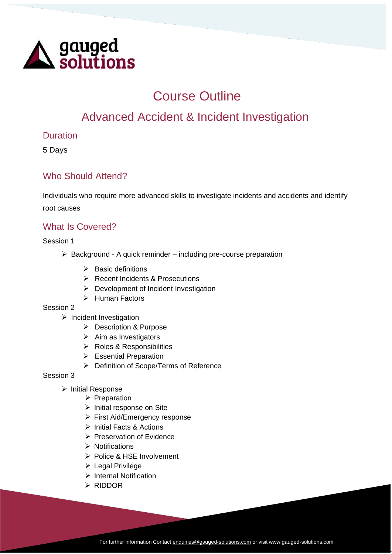

# Course Outline

## Advanced Accident & Incident Investigation

### Duration

5 Days

## Who Should Attend?

Individuals who require more advanced skills to investigate incidents and accidents and identify root causes

## What Is Covered?

Session 1

- $\triangleright$  Background A quick reminder including pre-course preparation
	- ➢ Basic definitions
	- ➢ Recent Incidents & Prosecutions
	- ➢ Development of Incident Investigation
	- ➢ Human Factors

#### Session 2

- ➢ Incident Investigation
	- ➢ Description & Purpose
	- $\triangleright$  Aim as Investigators
	- ➢ Roles & Responsibilities
	- ➢ Essential Preparation
	- ➢ Definition of Scope/Terms of Reference

#### Session 3

- ➢ Initial Response
	- ➢ Preparation
	- ➢ Initial response on Site
	- ➢ First Aid/Emergency response
	- ➢ Initial Facts & Actions
	- ➢ Preservation of Evidence
	- ➢ Notifications
	- ➢ Police & HSE Involvement
	- ➢ Legal Privilege
	- ➢ Internal Notification
	- ➢ RIDDOR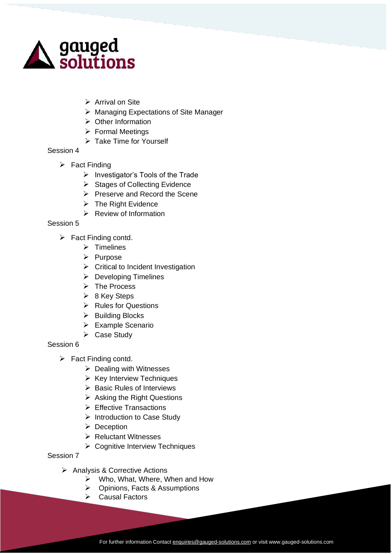

- ➢ Arrival on Site
- ➢ Managing Expectations of Site Manager
- ➢ Other Information
- ➢ Formal Meetings
- ➢ Take Time for Yourself

#### Session 4

- $\triangleright$  Fact Finding
	- ➢ Investigator's Tools of the Trade
	- ➢ Stages of Collecting Evidence
	- ➢ Preserve and Record the Scene
	- ➢ The Right Evidence
	- $\triangleright$  Review of Information

#### Session 5

- $\triangleright$  Fact Finding contd.
	- ➢ Timelines
	- ➢ Purpose
	- ➢ Critical to Incident Investigation
	- ➢ Developing Timelines
	- ➢ The Process
	- ➢ 8 Key Steps
	- ➢ Rules for Questions
	- ➢ Building Blocks
	- ➢ Example Scenario
	- ➢ Case Study

#### Session 6

- ➢ Fact Finding contd.
	- ➢ Dealing with Witnesses
	- ➢ Key Interview Techniques
	- ➢ Basic Rules of Interviews
	- ➢ Asking the Right Questions
	- ➢ Effective Transactions
	- ➢ Introduction to Case Study
	- ➢ Deception
	- ➢ Reluctant Witnesses
	- ➢ Cognitive Interview Techniques

#### Session 7

- ➢ Analysis & Corrective Actions
	- ➢ Who, What, Where, When and How
	- ➢ Opinions, Facts & Assumptions
	- ➢ Causal Factors